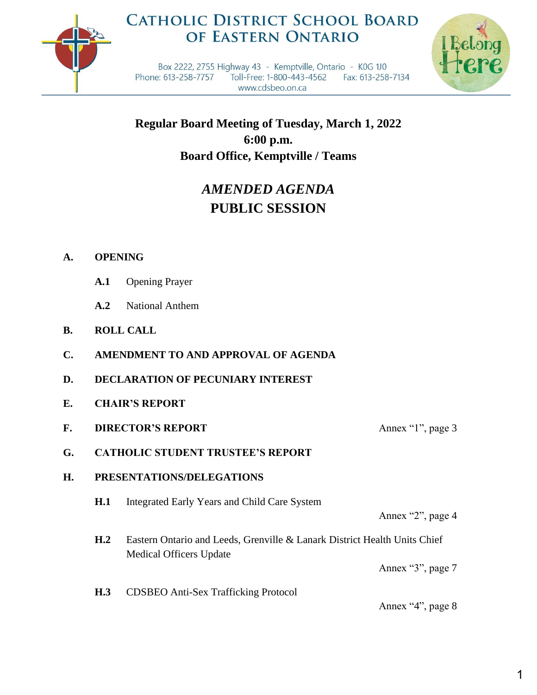

## **CATHOLIC DISTRICT SCHOOL BOARD** OF EASTERN ONTARIO



Box 2222, 2755 Highway 43 - Kemptville, Ontario - K0G 1J0 Phone: 613-258-7757 Toll-Free: 1-800-443-4562 Fax: 613-258-7134 www.cdsbeo.on.ca

**Regular Board Meeting of Tuesday, March 1, 2022 6:00 p.m. Board Office, Kemptville / Teams**

# *AMENDED AGENDA* **PUBLIC SESSION**

### **A. OPENING**

- **A.1** Opening Prayer
- **A.2** National Anthem
- **B. ROLL CALL**
- **C. AMENDMENT TO AND APPROVAL OF AGENDA**
- **D. DECLARATION OF PECUNIARY INTEREST**
- **E. CHAIR'S REPORT**
- **F. DIRECTOR'S REPORT** Annex "1", page 3
- 
- **G. CATHOLIC STUDENT TRUSTEE'S REPORT**

#### **H. PRESENTATIONS/DELEGATIONS**

**H.1** Integrated Early Years and Child Care System

Annex "2", page 4

**H.2** Eastern Ontario and Leeds, Grenville & Lanark District Health Units Chief Medical Officers Update

Annex "3", page 7

**H.3** CDSBEO Anti-Sex Trafficking Protocol

Annex "4", page 8